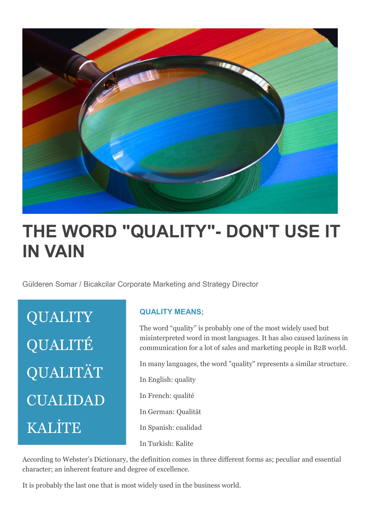

## **THE WORD "QUALITY"- DON'T USE IT IN VAIN**

Gülderen Somar / Bicakcilar Corporate Marketing and Strategy Director

**QUALITY** QUALITÉ QUALITÄT CUALIDAD KALİTE

## **QUALITY MEANS;**

The word "quality" is probably one of the most widely used but misinterpreted word in most languages. It has also caused laziness in communication for a lot of sales and marketing people in B2B world.

In many languages, the word "quality" represents a similar structure.

In English: quality In French: qualité In German: Qualität

In Spanish: cualidad

In Turkish: Kalite

According to Webster's Dictionary, the definition comes in three different forms as; peculiar and essential character; an inherent feature and degree of excellence.

It is probably the last one that is most widely used in the business world.